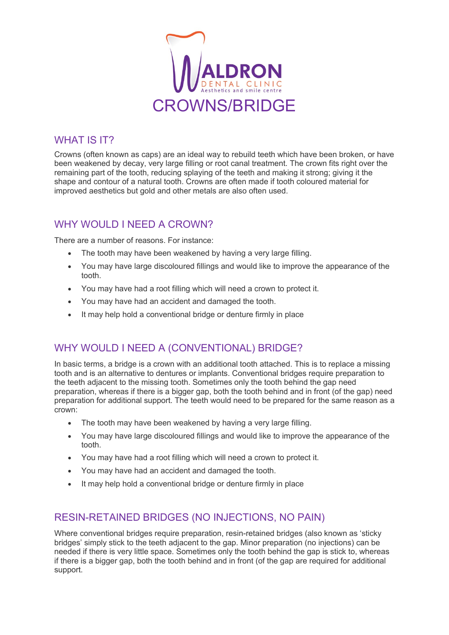

#### WHAT IS **IT?**

Crowns (often known as caps) are an ideal way to rebuild teeth which have been broken, or have been weakened by decay, very large filling or root canal treatment. The crown fits right over the remaining part of the tooth, reducing splaying of the teeth and making it strong; giving it the shape and contour of a natural tooth. Crowns are often made if tooth coloured material for improved aesthetics but gold and other metals are also often used.

# WHY WOULD I NFFD A CROWN?

There are a number of reasons. For instance:

- The tooth may have been weakened by having a very large filling.
- You may have large discoloured fillings and would like to improve the appearance of the tooth.
- You may have had a root filling which will need a crown to protect it.
- You may have had an accident and damaged the tooth.
- It may help hold a conventional bridge or denture firmly in place

# WHY WOULD I NEED A (CONVENTIONAL) BRIDGE?

In basic terms, a bridge is a crown with an additional tooth attached. This is to replace a missing tooth and is an alternative to dentures or implants. Conventional bridges require preparation to the teeth adjacent to the missing tooth. Sometimes only the tooth behind the gap need preparation, whereas if there is a bigger gap, both the tooth behind and in front (of the gap) need preparation for additional support. The teeth would need to be prepared for the same reason as a crown:

- The tooth may have been weakened by having a very large filling.
- You may have large discoloured fillings and would like to improve the appearance of the tooth.
- You may have had a root filling which will need a crown to protect it.
- You may have had an accident and damaged the tooth.
- It may help hold a conventional bridge or denture firmly in place

### RESIN-RETAINED BRIDGES (NO INJECTIONS, NO PAIN)

Where conventional bridges require preparation, resin-retained bridges (also known as 'sticky bridges' simply stick to the teeth adjacent to the gap. Minor preparation (no injections) can be needed if there is very little space. Sometimes only the tooth behind the gap is stick to, whereas if there is a bigger gap, both the tooth behind and in front (of the gap are required for additional support.